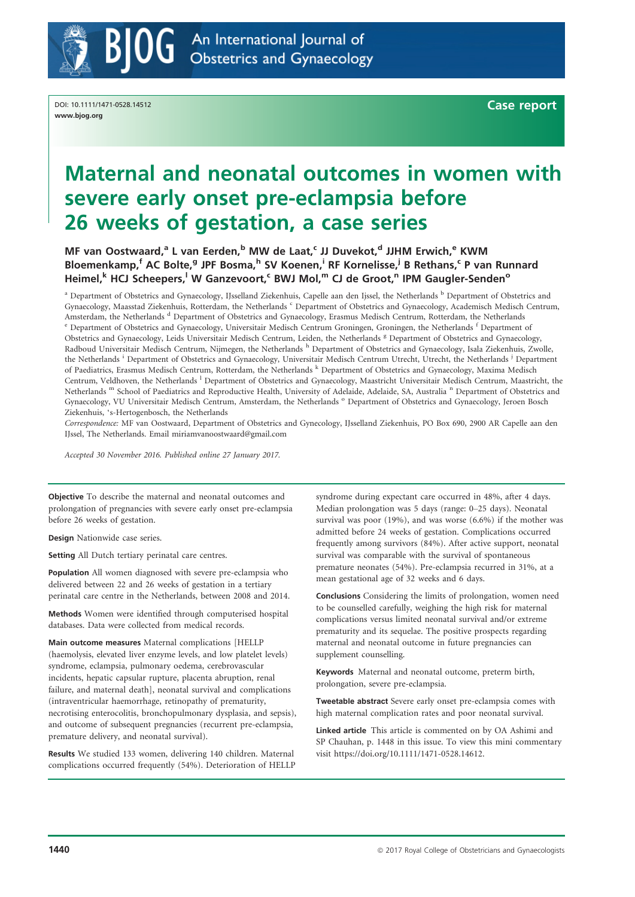

DOI: 10.1111/1471-0528.14512 www.bjog.org

Case report

# Maternal and neonatal outcomes in women with severe early onset pre-eclampsia before 26 weeks of gestation, a case series

MF van Oostwaard,<sup>a</sup> L van Eerden,<sup>b</sup> MW de Laat,<sup>c</sup> JJ Duvekot,<sup>d</sup> JJHM Erwich,<sup>e</sup> KWM Bloemenkamp,<sup>f</sup> AC Bolte,<sup>g</sup> JPF Bosma,<sup>h</sup> SV Koenen,<sup>i</sup> RF Kornelisse,<sup>j</sup> B Rethans,<sup>c</sup> P van Runnard Heimel,<sup>k</sup> HCJ Scheepers,<sup>I</sup> W Ganzevoort,<sup>c</sup> BWJ Mol,<sup>m</sup> CJ de Groot,<sup>n</sup> IPM Gaugler-Senden<sup>o</sup>

<sup>a</sup> Department of Obstetrics and Gynaecology, IJsselland Ziekenhuis, Capelle aan den Ijssel, the Netherlands <sup>b</sup> Department of Obstetrics and Gynaecology, Maasstad Ziekenhuis, Rotterdam, the Netherlands <sup>c</sup> Department of Obstetrics and Gynaecology, Academisch Medisch Centrum, Amsterdam, the Netherlands <sup>d</sup> Department of Obstetrics and Gynaecology, Erasmus Medisch Centrum, Rotterdam, the Netherlands <sup>e</sup> Department of Obstetrics and Gynaecology, Universitair Medisch Centrum Groningen, Groningen, Obstetrics and Gynaecology, Leids Universitair Medisch Centrum, Leiden, the Netherlands <sup>g</sup> Department of Obstetrics and Gynaecology, Radboud Universitair Medisch Centrum, Nijmegen, the Netherlands <sup>h</sup> Department of Obstetrics and Gynaecology, Isala Ziekenhuis, Zwolle, the Netherlands <sup>i</sup> Department of Obstetrics and Gynaecology, Universitair Medisch Centrum Utrecht, Utrecht, the Netherlands <sup>j</sup> Department of Paediatrics, Erasmus Medisch Centrum, Rotterdam, the Netherlands <sup>k</sup> Department of Obstetrics and Gynaecology, Maxima Medisch Centrum, Veldhoven, the Netherlands <sup>l</sup> Department of Obstetrics and Gynaecology, Maastricht Universitair Medisch Centrum, Maastricht, the Netherlands <sup>m</sup> School of Paediatrics and Reproductive Health, University of Adelaide, Adelaide, SA, Australia <sup>n</sup> Department of Obstetrics and Gynaecology, VU Universitair Medisch Centrum, Amsterdam, the Netherlands <sup>o</sup> Department of Obstetrics and Gynaecology, Jeroen Bosch Ziekenhuis, 's-Hertogenbosch, the Netherlands

Correspondence: MF van Oostwaard, Department of Obstetrics and Gynecology, IJsselland Ziekenhuis, PO Box 690, 2900 AR Capelle aan den IJssel, The Netherlands. Email miriamvanoostwaard@gmail.com

Accepted 30 November 2016. Published online 27 January 2017.

Objective To describe the maternal and neonatal outcomes and prolongation of pregnancies with severe early onset pre-eclampsia before 26 weeks of gestation.

Design Nationwide case series.

Setting All Dutch tertiary perinatal care centres.

Population All women diagnosed with severe pre-eclampsia who delivered between 22 and 26 weeks of gestation in a tertiary perinatal care centre in the Netherlands, between 2008 and 2014.

Methods Women were identified through computerised hospital databases. Data were collected from medical records.

Main outcome measures Maternal complications [HELLP (haemolysis, elevated liver enzyme levels, and low platelet levels) syndrome, eclampsia, pulmonary oedema, cerebrovascular incidents, hepatic capsular rupture, placenta abruption, renal failure, and maternal death], neonatal survival and complications (intraventricular haemorrhage, retinopathy of prematurity, necrotising enterocolitis, bronchopulmonary dysplasia, and sepsis), and outcome of subsequent pregnancies (recurrent pre-eclampsia, premature delivery, and neonatal survival).

Results We studied 133 women, delivering 140 children. Maternal complications occurred frequently (54%). Deterioration of HELLP

syndrome during expectant care occurred in 48%, after 4 days. Median prolongation was 5 days (range: 0–25 days). Neonatal survival was poor (19%), and was worse (6.6%) if the mother was admitted before 24 weeks of gestation. Complications occurred frequently among survivors (84%). After active support, neonatal survival was comparable with the survival of spontaneous premature neonates (54%). Pre-eclampsia recurred in 31%, at a mean gestational age of 32 weeks and 6 days.

Conclusions Considering the limits of prolongation, women need to be counselled carefully, weighing the high risk for maternal complications versus limited neonatal survival and/or extreme prematurity and its sequelae. The positive prospects regarding maternal and neonatal outcome in future pregnancies can supplement counselling.

Keywords Maternal and neonatal outcome, preterm birth, prolongation, severe pre-eclampsia.

Tweetable abstract Severe early onset pre-eclampsia comes with high maternal complication rates and poor neonatal survival.

Linked article This article is commented on by OA Ashimi and SP Chauhan, p. 1448 in this issue. To view this mini commentary visit<https://doi.org/10.1111/1471-0528.14612>.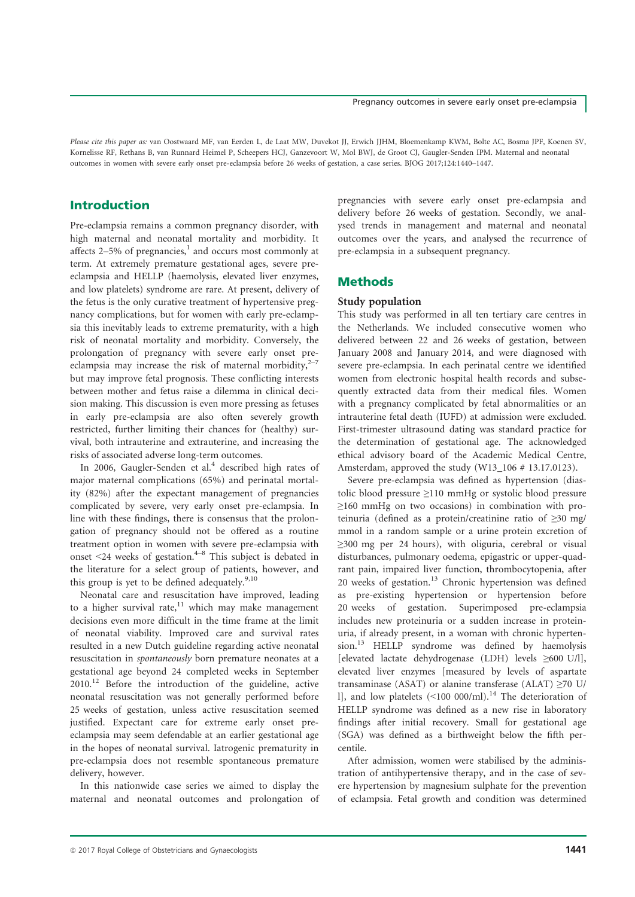### Pregnancy outcomes in severe early onset pre-eclampsia

Please cite this paper as: van Oostwaard MF, van Eerden L, de Laat MW, Duvekot JJ, Erwich JJHM, Bloemenkamp KWM, Bolte AC, Bosma JPF, Koenen SV, Kornelisse RF, Rethans B, van Runnard Heimel P, Scheepers HCJ, Ganzevoort W, Mol BWJ, de Groot CJ, Gaugler-Senden IPM. Maternal and neonatal outcomes in women with severe early onset pre-eclampsia before 26 weeks of gestation, a case series. BJOG 2017;124:1440–1447.

# Introduction

Pre-eclampsia remains a common pregnancy disorder, with high maternal and neonatal mortality and morbidity. It affects  $2-5%$  of pregnancies,<sup>1</sup> and occurs most commonly at term. At extremely premature gestational ages, severe preeclampsia and HELLP (haemolysis, elevated liver enzymes, and low platelets) syndrome are rare. At present, delivery of the fetus is the only curative treatment of hypertensive pregnancy complications, but for women with early pre-eclampsia this inevitably leads to extreme prematurity, with a high risk of neonatal mortality and morbidity. Conversely, the prolongation of pregnancy with severe early onset preeclampsia may increase the risk of maternal morbidity, $2^{-7}$ but may improve fetal prognosis. These conflicting interests between mother and fetus raise a dilemma in clinical decision making. This discussion is even more pressing as fetuses in early pre-eclampsia are also often severely growth restricted, further limiting their chances for (healthy) survival, both intrauterine and extrauterine, and increasing the risks of associated adverse long-term outcomes.

In 2006, Gaugler-Senden et al.<sup>4</sup> described high rates of major maternal complications (65%) and perinatal mortality (82%) after the expectant management of pregnancies complicated by severe, very early onset pre-eclampsia. In line with these findings, there is consensus that the prolongation of pregnancy should not be offered as a routine treatment option in women with severe pre-eclampsia with onset  $\leq$ 24 weeks of gestation.<sup>4–8</sup> This subject is debated in the literature for a select group of patients, however, and this group is yet to be defined adequately. $9,10$ 

Neonatal care and resuscitation have improved, leading to a higher survival rate, $11$  which may make management decisions even more difficult in the time frame at the limit of neonatal viability. Improved care and survival rates resulted in a new Dutch guideline regarding active neonatal resuscitation in spontaneously born premature neonates at a gestational age beyond 24 completed weeks in September  $2010$ <sup>12</sup> Before the introduction of the guideline, active neonatal resuscitation was not generally performed before 25 weeks of gestation, unless active resuscitation seemed justified. Expectant care for extreme early onset preeclampsia may seem defendable at an earlier gestational age in the hopes of neonatal survival. Iatrogenic prematurity in pre-eclampsia does not resemble spontaneous premature delivery, however.

In this nationwide case series we aimed to display the maternal and neonatal outcomes and prolongation of

pregnancies with severe early onset pre-eclampsia and delivery before 26 weeks of gestation. Secondly, we analysed trends in management and maternal and neonatal outcomes over the years, and analysed the recurrence of pre-eclampsia in a subsequent pregnancy.

# **Methods**

### Study population

This study was performed in all ten tertiary care centres in the Netherlands. We included consecutive women who delivered between 22 and 26 weeks of gestation, between January 2008 and January 2014, and were diagnosed with severe pre-eclampsia. In each perinatal centre we identified women from electronic hospital health records and subsequently extracted data from their medical files. Women with a pregnancy complicated by fetal abnormalities or an intrauterine fetal death (IUFD) at admission were excluded. First-trimester ultrasound dating was standard practice for the determination of gestational age. The acknowledged ethical advisory board of the Academic Medical Centre, Amsterdam, approved the study (W13\_106 # 13.17.0123).

Severe pre-eclampsia was defined as hypertension (diastolic blood pressure ≥110 mmHg or systolic blood pressure  $\geq$ 160 mmHg on two occasions) in combination with proteinuria (defined as a protein/creatinine ratio of ≥30 mg/ mmol in a random sample or a urine protein excretion of ≥300 mg per 24 hours), with oliguria, cerebral or visual disturbances, pulmonary oedema, epigastric or upper-quadrant pain, impaired liver function, thrombocytopenia, after 20 weeks of gestation.<sup>13</sup> Chronic hypertension was defined as pre-existing hypertension or hypertension before 20 weeks of gestation. Superimposed pre-eclampsia includes new proteinuria or a sudden increase in proteinuria, if already present, in a woman with chronic hypertension.<sup>13</sup> HELLP syndrome was defined by haemolysis [elevated lactate dehydrogenase (LDH) levels ≥600 U/l], elevated liver enzymes [measured by levels of aspartate transaminase (ASAT) or alanine transferase (ALAT)  $\geq$ 70 U/ l], and low platelets  $($  <100 000/ml).<sup>14</sup> The deterioration of HELLP syndrome was defined as a new rise in laboratory findings after initial recovery. Small for gestational age (SGA) was defined as a birthweight below the fifth percentile.

After admission, women were stabilised by the administration of antihypertensive therapy, and in the case of severe hypertension by magnesium sulphate for the prevention of eclampsia. Fetal growth and condition was determined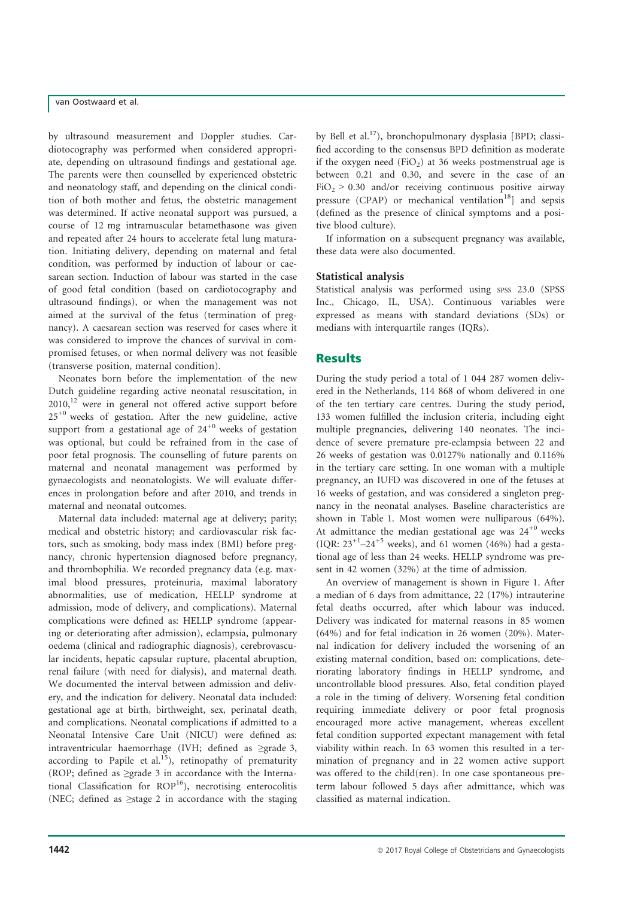# van Oostwaard et al.

by ultrasound measurement and Doppler studies. Cardiotocography was performed when considered appropriate, depending on ultrasound findings and gestational age. The parents were then counselled by experienced obstetric and neonatology staff, and depending on the clinical condition of both mother and fetus, the obstetric management was determined. If active neonatal support was pursued, a course of 12 mg intramuscular betamethasone was given and repeated after 24 hours to accelerate fetal lung maturation. Initiating delivery, depending on maternal and fetal condition, was performed by induction of labour or caesarean section. Induction of labour was started in the case of good fetal condition (based on cardiotocography and ultrasound findings), or when the management was not aimed at the survival of the fetus (termination of pregnancy). A caesarean section was reserved for cases where it was considered to improve the chances of survival in compromised fetuses, or when normal delivery was not feasible (transverse position, maternal condition).

Neonates born before the implementation of the new Dutch guideline regarding active neonatal resuscitation, in  $2010$ ,<sup>12</sup> were in general not offered active support before  $25^{+0}$  weeks of gestation. After the new guideline, active support from a gestational age of  $24^{+0}$  weeks of gestation was optional, but could be refrained from in the case of poor fetal prognosis. The counselling of future parents on maternal and neonatal management was performed by gynaecologists and neonatologists. We will evaluate differences in prolongation before and after 2010, and trends in maternal and neonatal outcomes.

Maternal data included: maternal age at delivery; parity; medical and obstetric history; and cardiovascular risk factors, such as smoking, body mass index (BMI) before pregnancy, chronic hypertension diagnosed before pregnancy, and thrombophilia. We recorded pregnancy data (e.g. maximal blood pressures, proteinuria, maximal laboratory abnormalities, use of medication, HELLP syndrome at admission, mode of delivery, and complications). Maternal complications were defined as: HELLP syndrome (appearing or deteriorating after admission), eclampsia, pulmonary oedema (clinical and radiographic diagnosis), cerebrovascular incidents, hepatic capsular rupture, placental abruption, renal failure (with need for dialysis), and maternal death. We documented the interval between admission and delivery, and the indication for delivery. Neonatal data included: gestational age at birth, birthweight, sex, perinatal death, and complications. Neonatal complications if admitted to a Neonatal Intensive Care Unit (NICU) were defined as: intraventricular haemorrhage (IVH; defined as ≥grade 3, according to Papile et al.<sup>15</sup>), retinopathy of prematurity (ROP; defined as ≥grade 3 in accordance with the International Classification for  $ROP<sup>16</sup>$ ), necrotising enterocolitis (NEC; defined as ≥stage 2 in accordance with the staging by Bell et al.17), bronchopulmonary dysplasia [BPD; classified according to the consensus BPD definition as moderate if the oxygen need (FiO<sub>2</sub>) at 36 weeks postmenstrual age is between 0.21 and 0.30, and severe in the case of an  $FiO<sub>2</sub> > 0.30$  and/or receiving continuous positive airway pressure (CPAP) or mechanical ventilation<sup>18</sup> and sepsis (defined as the presence of clinical symptoms and a positive blood culture).

If information on a subsequent pregnancy was available, these data were also documented.

### Statistical analysis

Statistical analysis was performed using spss 23.0 (SPSS Inc., Chicago, IL, USA). Continuous variables were expressed as means with standard deviations (SDs) or medians with interquartile ranges (IQRs).

### **Results**

During the study period a total of 1 044 287 women delivered in the Netherlands, 114 868 of whom delivered in one of the ten tertiary care centres. During the study period, 133 women fulfilled the inclusion criteria, including eight multiple pregnancies, delivering 140 neonates. The incidence of severe premature pre-eclampsia between 22 and 26 weeks of gestation was 0.0127% nationally and 0.116% in the tertiary care setting. In one woman with a multiple pregnancy, an IUFD was discovered in one of the fetuses at 16 weeks of gestation, and was considered a singleton pregnancy in the neonatal analyses. Baseline characteristics are shown in Table 1. Most women were nulliparous (64%). At admittance the median gestational age was  $24^{+0}$  weeks (IOR:  $23^{+1}$ - $24^{+5}$  weeks), and 61 women (46%) had a gestational age of less than 24 weeks. HELLP syndrome was present in 42 women (32%) at the time of admission.

An overview of management is shown in Figure 1. After a median of 6 days from admittance, 22 (17%) intrauterine fetal deaths occurred, after which labour was induced. Delivery was indicated for maternal reasons in 85 women (64%) and for fetal indication in 26 women (20%). Maternal indication for delivery included the worsening of an existing maternal condition, based on: complications, deteriorating laboratory findings in HELLP syndrome, and uncontrollable blood pressures. Also, fetal condition played a role in the timing of delivery. Worsening fetal condition requiring immediate delivery or poor fetal prognosis encouraged more active management, whereas excellent fetal condition supported expectant management with fetal viability within reach. In 63 women this resulted in a termination of pregnancy and in 22 women active support was offered to the child(ren). In one case spontaneous preterm labour followed 5 days after admittance, which was classified as maternal indication.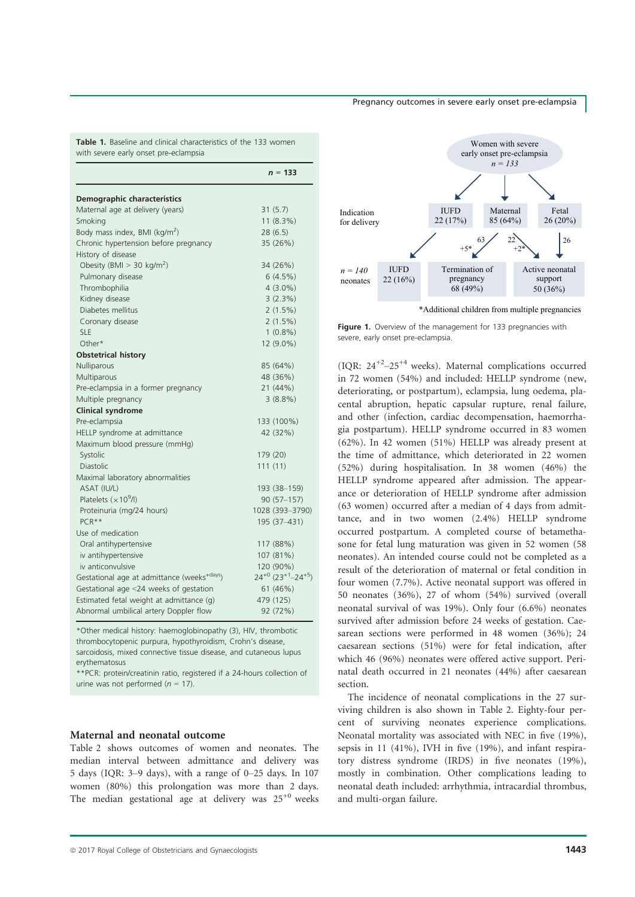### Pregnancy outcomes in severe early onset pre-eclampsia

Table 1. Baseline and clinical characteristics of the 133 women with severe early onset pre-eclampsia

|                                                         | $n = 133$                                       |
|---------------------------------------------------------|-------------------------------------------------|
| Demographic characteristics                             |                                                 |
| Maternal age at delivery (years)                        | 31(5.7)                                         |
| Smoking                                                 | $11(8.3\%)$                                     |
| Body mass index, BMI (kg/m <sup>2</sup> )               | 28(6.5)                                         |
| Chronic hypertension before pregnancy                   | 35 (26%)                                        |
| History of disease                                      |                                                 |
| Obesity (BMI $>$ 30 kg/m <sup>2</sup> )                 | 34 (26%)                                        |
| Pulmonary disease                                       | 6(4.5%)                                         |
| Thrombophilia                                           | $4(3.0\%)$                                      |
| Kidney disease                                          | 3(2.3%)                                         |
| Diabetes mellitus                                       | $2(1.5\%)$                                      |
| Coronary disease                                        | $2(1.5\%)$                                      |
| <b>SLE</b>                                              | $1(0.8\%)$                                      |
| Other*                                                  | 12 (9.0%)                                       |
| <b>Obstetrical history</b>                              |                                                 |
| Nulliparous                                             | 85 (64%)                                        |
| Multiparous                                             | 48 (36%)                                        |
| Pre-eclampsia in a former pregnancy                     | 21 (44%)                                        |
| Multiple pregnancy                                      | 3(8.8%)                                         |
| <b>Clinical syndrome</b>                                |                                                 |
| Pre-eclampsia                                           | 133 (100%)                                      |
| HELLP syndrome at admittance                            | 42 (32%)                                        |
| Maximum blood pressure (mmHg)                           |                                                 |
| Systolic                                                | 179 (20)                                        |
| <b>Diastolic</b>                                        | 111(11)                                         |
| Maximal laboratory abnormalities                        |                                                 |
| ASAT (IU/L)                                             | 193 (38-159)                                    |
| Platelets $(x109/I)$                                    | $90(57-157)$                                    |
| Proteinuria (mg/24 hours)                               | 1028 (393-3790)                                 |
| $PCR***$                                                | 195 (37–431)                                    |
| Use of medication                                       |                                                 |
| Oral antihypertensive                                   | 117 (88%)                                       |
| iv antihypertensive                                     | 107 (81%)                                       |
| iv anticonvulsive                                       | 120 (90%)                                       |
| Gestational age at admittance (weeks <sup>+days</sup> ) | $24^{+0}$ (23 <sup>+1</sup> -24 <sup>+5</sup> ) |
| Gestational age <24 weeks of gestation                  | 61 (46%)                                        |
| Estimated fetal weight at admittance (g)                | 479 (125)                                       |
| Abnormal umbilical artery Doppler flow                  | 92 (72%)                                        |

\*Other medical history: haemoglobinopathy (3), HIV, thrombotic thrombocytopenic purpura, hypothyroidism, Crohn's disease, sarcoidosis, mixed connective tissue disease, and cutaneous lupus erythematosus

\*\*PCR: protein/creatinin ratio, registered if a 24-hours collection of urine was not performed ( $n = 17$ ).

#### Maternal and neonatal outcome

Table 2 shows outcomes of women and neonates. The median interval between admittance and delivery was 5 days (IQR: 3–9 days), with a range of 0–25 days. In 107 women (80%) this prolongation was more than 2 days. The median gestational age at delivery was  $25^{+0}$  weeks



\*Additional children from multiple pregnancies

Figure 1. Overview of the management for 133 pregnancies with severe, early onset pre-eclampsia.

(IQR:  $24^{+2}$ - $25^{+4}$  weeks). Maternal complications occurred in 72 women (54%) and included: HELLP syndrome (new, deteriorating, or postpartum), eclampsia, lung oedema, placental abruption, hepatic capsular rupture, renal failure, and other (infection, cardiac decompensation, haemorrhagia postpartum). HELLP syndrome occurred in 83 women (62%). In 42 women (51%) HELLP was already present at the time of admittance, which deteriorated in 22 women (52%) during hospitalisation. In 38 women (46%) the HELLP syndrome appeared after admission. The appearance or deterioration of HELLP syndrome after admission (63 women) occurred after a median of 4 days from admittance, and in two women (2.4%) HELLP syndrome occurred postpartum. A completed course of betamethasone for fetal lung maturation was given in 52 women (58 neonates). An intended course could not be completed as a result of the deterioration of maternal or fetal condition in four women (7.7%). Active neonatal support was offered in 50 neonates (36%), 27 of whom (54%) survived (overall neonatal survival of was 19%). Only four (6.6%) neonates survived after admission before 24 weeks of gestation. Caesarean sections were performed in 48 women (36%); 24 caesarean sections (51%) were for fetal indication, after which 46 (96%) neonates were offered active support. Perinatal death occurred in 21 neonates (44%) after caesarean section.

The incidence of neonatal complications in the 27 surviving children is also shown in Table 2. Eighty-four percent of surviving neonates experience complications. Neonatal mortality was associated with NEC in five (19%), sepsis in 11 (41%), IVH in five (19%), and infant respiratory distress syndrome (IRDS) in five neonates (19%), mostly in combination. Other complications leading to neonatal death included: arrhythmia, intracardial thrombus, and multi-organ failure.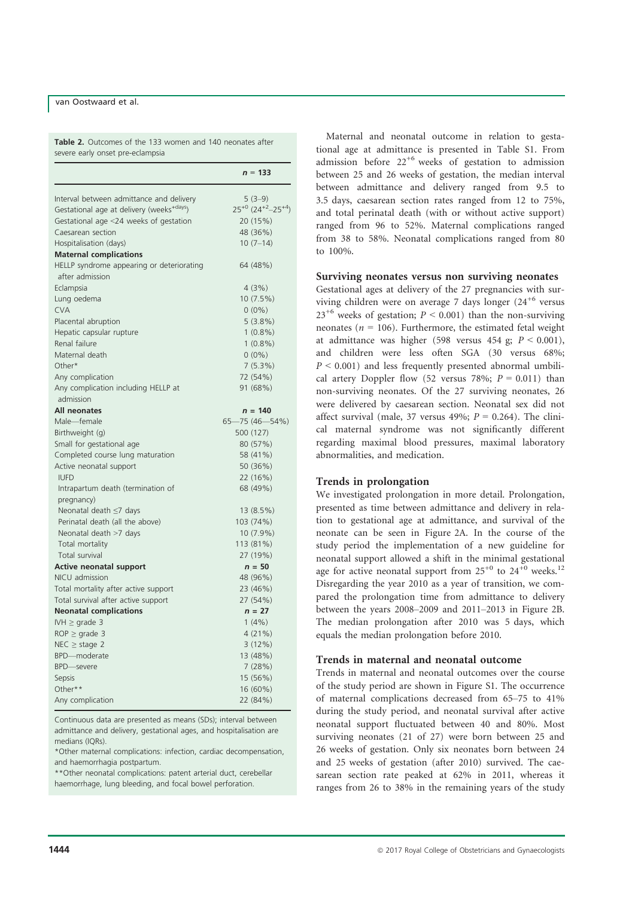### van Oostwaard et al.

Table 2. Outcomes of the 133 women and 140 neonates after severe early onset pre-eclampsia

|                                                              | $n = 133$                                       |
|--------------------------------------------------------------|-------------------------------------------------|
| Interval between admittance and delivery                     | $5(3-9)$                                        |
| Gestational age at delivery (weeks <sup>+days</sup> )        | $25^{+0}$ (24 <sup>+2</sup> -25 <sup>+4</sup> ) |
| Gestational age <24 weeks of gestation                       | 20 (15%)                                        |
| Caesarean section                                            | 48 (36%)                                        |
| Hospitalisation (days)                                       | $10(7-14)$                                      |
| <b>Maternal complications</b>                                |                                                 |
| HELLP syndrome appearing or deteriorating<br>after admission | 64 (48%)                                        |
| Eclampsia                                                    | 4(3%)                                           |
| Lung oedema                                                  | 10 (7.5%)                                       |
| <b>CVA</b>                                                   | $0(0\%)$                                        |
| Placental abruption                                          | 5(3.8%)                                         |
| Hepatic capsular rupture                                     | $1(0.8\%)$                                      |
| Renal failure                                                | $1(0.8\%)$                                      |
| Maternal death                                               | $0(0\%)$                                        |
| Other*                                                       | 7(5.3%)                                         |
| Any complication                                             | 72 (54%)                                        |
| Any complication including HELLP at<br>admission             | 91 (68%)                                        |
| <b>All neonates</b>                                          | $n = 140$                                       |
| Male-female                                                  | 65-75 (46-54%)                                  |
| Birthweight (g)                                              | 500 (127)                                       |
| Small for gestational age                                    | 80 (57%)                                        |
| Completed course lung maturation                             | 58 (41%)                                        |
| Active neonatal support                                      | 50 (36%)                                        |
| <b>IUFD</b>                                                  | 22 (16%)                                        |
| Intrapartum death (termination of                            | 68 (49%)                                        |
| pregnancy)                                                   |                                                 |
| Neonatal death ≤7 days                                       | 13(8.5%)                                        |
| Perinatal death (all the above)                              | 103 (74%)                                       |
| Neonatal death >7 days                                       | $10(7.9\%)$                                     |
| Total mortality                                              | 113 (81%)                                       |
| <b>Total survival</b>                                        | 27 (19%)                                        |
| <b>Active neonatal support</b>                               | $n = 50$                                        |
| NICU admission                                               | 48 (96%)                                        |
| Total mortality after active support                         | 23 (46%)                                        |
| Total survival after active support                          | 27 (54%)                                        |
| <b>Neonatal complications</b>                                | $n = 27$                                        |
| IVH $\geq$ grade 3                                           | 1(4% )                                          |
| $ROP \geq grade 3$                                           | 4(21%)                                          |
| $NEC \geq stage$ 2                                           | 3(12%)                                          |
| BPD-moderate                                                 | 13 (48%)                                        |
| <b>BPD</b> —severe                                           | 7(28%)                                          |
| Sepsis                                                       | 15 (56%)                                        |
| Other**                                                      | 16 (60%)                                        |
| Any complication                                             | 22 (84%)                                        |

Continuous data are presented as means (SDs); interval between admittance and delivery, gestational ages, and hospitalisation are medians (IQRs).

\*Other maternal complications: infection, cardiac decompensation, and haemorrhagia postpartum.

\*\*Other neonatal complications: patent arterial duct, cerebellar haemorrhage, lung bleeding, and focal bowel perforation.

Maternal and neonatal outcome in relation to gestational age at admittance is presented in Table S1. From admission before  $22^{+6}$  weeks of gestation to admission between 25 and 26 weeks of gestation, the median interval between admittance and delivery ranged from 9.5 to 3.5 days, caesarean section rates ranged from 12 to 75%, and total perinatal death (with or without active support) ranged from 96 to 52%. Maternal complications ranged from 38 to 58%. Neonatal complications ranged from 80 to 100%.

# Surviving neonates versus non surviving neonates

Gestational ages at delivery of the 27 pregnancies with surviving children were on average 7 days longer  $(24^{+6}$  versus  $23^{+6}$  weeks of gestation;  $P < 0.001$ ) than the non-surviving neonates ( $n = 106$ ). Furthermore, the estimated fetal weight at admittance was higher (598 versus 454 g;  $P < 0.001$ ), and children were less often SGA (30 versus 68%;  $P < 0.001$ ) and less frequently presented abnormal umbilical artery Doppler flow (52 versus 78%;  $P = 0.011$ ) than non-surviving neonates. Of the 27 surviving neonates, 26 were delivered by caesarean section. Neonatal sex did not affect survival (male, 37 versus 49%;  $P = 0.264$ ). The clinical maternal syndrome was not significantly different regarding maximal blood pressures, maximal laboratory abnormalities, and medication.

### Trends in prolongation

We investigated prolongation in more detail. Prolongation, presented as time between admittance and delivery in relation to gestational age at admittance, and survival of the neonate can be seen in Figure 2A. In the course of the study period the implementation of a new guideline for neonatal support allowed a shift in the minimal gestational age for active neonatal support from  $25^{+0}$  to  $24^{+0}$  weeks.<sup>12</sup> Disregarding the year 2010 as a year of transition, we compared the prolongation time from admittance to delivery between the years 2008–2009 and 2011–2013 in Figure 2B. The median prolongation after 2010 was 5 days, which equals the median prolongation before 2010.

### Trends in maternal and neonatal outcome

Trends in maternal and neonatal outcomes over the course of the study period are shown in Figure S1. The occurrence of maternal complications decreased from 65–75 to 41% during the study period, and neonatal survival after active neonatal support fluctuated between 40 and 80%. Most surviving neonates (21 of 27) were born between 25 and 26 weeks of gestation. Only six neonates born between 24 and 25 weeks of gestation (after 2010) survived. The caesarean section rate peaked at 62% in 2011, whereas it ranges from 26 to 38% in the remaining years of the study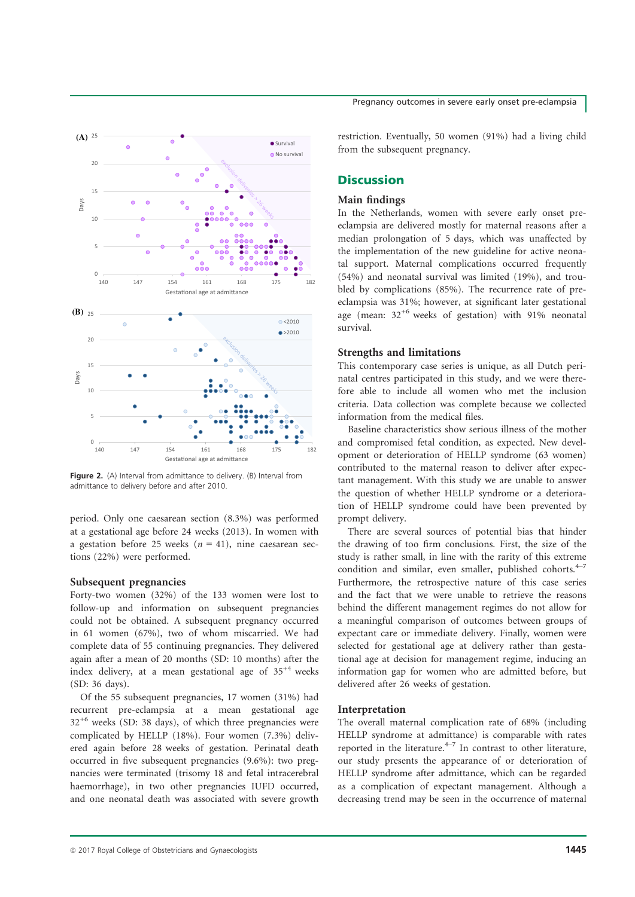

Figure 2. (A) Interval from admittance to delivery. (B) Interval from admittance to delivery before and after 2010.

period. Only one caesarean section (8.3%) was performed at a gestational age before 24 weeks (2013). In women with a gestation before 25 weeks ( $n = 41$ ), nine caesarean sections (22%) were performed.

#### Subsequent pregnancies

Forty-two women (32%) of the 133 women were lost to follow-up and information on subsequent pregnancies could not be obtained. A subsequent pregnancy occurred in 61 women (67%), two of whom miscarried. We had complete data of 55 continuing pregnancies. They delivered again after a mean of 20 months (SD: 10 months) after the index delivery, at a mean gestational age of  $35^{+4}$  weeks (SD: 36 days).

Of the 55 subsequent pregnancies, 17 women (31%) had recurrent pre-eclampsia at a mean gestational age  $32^{+6}$  weeks (SD: 38 days), of which three pregnancies were complicated by HELLP (18%). Four women (7.3%) delivered again before 28 weeks of gestation. Perinatal death occurred in five subsequent pregnancies (9.6%): two pregnancies were terminated (trisomy 18 and fetal intracerebral haemorrhage), in two other pregnancies IUFD occurred, and one neonatal death was associated with severe growth restriction. Eventually, 50 women (91%) had a living child from the subsequent pregnancy.

# **Discussion**

### Main findings

In the Netherlands, women with severe early onset preeclampsia are delivered mostly for maternal reasons after a median prolongation of 5 days, which was unaffected by the implementation of the new guideline for active neonatal support. Maternal complications occurred frequently (54%) and neonatal survival was limited (19%), and troubled by complications (85%). The recurrence rate of preeclampsia was 31%; however, at significant later gestational age (mean:  $32^{+6}$  weeks of gestation) with 91% neonatal survival.

#### Strengths and limitations

This contemporary case series is unique, as all Dutch perinatal centres participated in this study, and we were therefore able to include all women who met the inclusion criteria. Data collection was complete because we collected information from the medical files.

Baseline characteristics show serious illness of the mother and compromised fetal condition, as expected. New development or deterioration of HELLP syndrome (63 women) contributed to the maternal reason to deliver after expectant management. With this study we are unable to answer the question of whether HELLP syndrome or a deterioration of HELLP syndrome could have been prevented by prompt delivery.

There are several sources of potential bias that hinder the drawing of too firm conclusions. First, the size of the study is rather small, in line with the rarity of this extreme condition and similar, even smaller, published cohorts. $4-7$ Furthermore, the retrospective nature of this case series and the fact that we were unable to retrieve the reasons behind the different management regimes do not allow for a meaningful comparison of outcomes between groups of expectant care or immediate delivery. Finally, women were selected for gestational age at delivery rather than gestational age at decision for management regime, inducing an information gap for women who are admitted before, but delivered after 26 weeks of gestation.

### Interpretation

The overall maternal complication rate of 68% (including HELLP syndrome at admittance) is comparable with rates reported in the literature. $4-7$  In contrast to other literature, our study presents the appearance of or deterioration of HELLP syndrome after admittance, which can be regarded as a complication of expectant management. Although a decreasing trend may be seen in the occurrence of maternal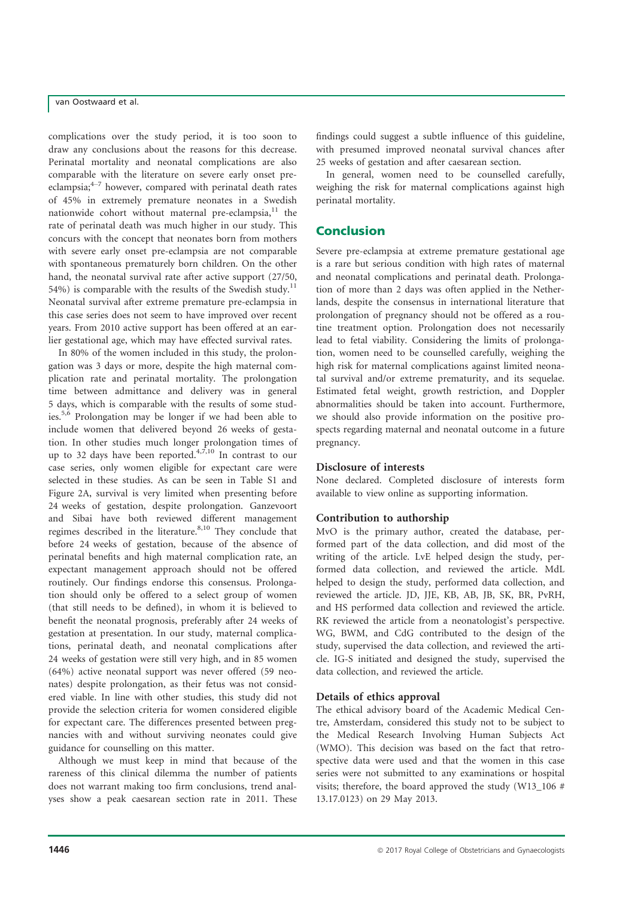# van Oostwaard et al.

complications over the study period, it is too soon to draw any conclusions about the reasons for this decrease. Perinatal mortality and neonatal complications are also comparable with the literature on severe early onset preeclampsia; $4-7$  however, compared with perinatal death rates of 45% in extremely premature neonates in a Swedish nationwide cohort without maternal pre-eclampsia, $<sup>11</sup>$  the</sup> rate of perinatal death was much higher in our study. This concurs with the concept that neonates born from mothers with severe early onset pre-eclampsia are not comparable with spontaneous prematurely born children. On the other hand, the neonatal survival rate after active support (27/50, 54%) is comparable with the results of the Swedish study.<sup>11</sup> Neonatal survival after extreme premature pre-eclampsia in this case series does not seem to have improved over recent years. From 2010 active support has been offered at an earlier gestational age, which may have effected survival rates.

In 80% of the women included in this study, the prolongation was 3 days or more, despite the high maternal complication rate and perinatal mortality. The prolongation time between admittance and delivery was in general 5 days, which is comparable with the results of some studies.5,6 Prolongation may be longer if we had been able to include women that delivered beyond 26 weeks of gestation. In other studies much longer prolongation times of up to 32 days have been reported. $4,7,10$  In contrast to our case series, only women eligible for expectant care were selected in these studies. As can be seen in Table S1 and Figure 2A, survival is very limited when presenting before 24 weeks of gestation, despite prolongation. Ganzevoort and Sibai have both reviewed different management regimes described in the literature.<sup>8,10</sup> They conclude that before 24 weeks of gestation, because of the absence of perinatal benefits and high maternal complication rate, an expectant management approach should not be offered routinely. Our findings endorse this consensus. Prolongation should only be offered to a select group of women (that still needs to be defined), in whom it is believed to benefit the neonatal prognosis, preferably after 24 weeks of gestation at presentation. In our study, maternal complications, perinatal death, and neonatal complications after 24 weeks of gestation were still very high, and in 85 women (64%) active neonatal support was never offered (59 neonates) despite prolongation, as their fetus was not considered viable. In line with other studies, this study did not provide the selection criteria for women considered eligible for expectant care. The differences presented between pregnancies with and without surviving neonates could give guidance for counselling on this matter.

Although we must keep in mind that because of the rareness of this clinical dilemma the number of patients does not warrant making too firm conclusions, trend analyses show a peak caesarean section rate in 2011. These

findings could suggest a subtle influence of this guideline, with presumed improved neonatal survival chances after 25 weeks of gestation and after caesarean section.

In general, women need to be counselled carefully, weighing the risk for maternal complications against high perinatal mortality.

# Conclusion

Severe pre-eclampsia at extreme premature gestational age is a rare but serious condition with high rates of maternal and neonatal complications and perinatal death. Prolongation of more than 2 days was often applied in the Netherlands, despite the consensus in international literature that prolongation of pregnancy should not be offered as a routine treatment option. Prolongation does not necessarily lead to fetal viability. Considering the limits of prolongation, women need to be counselled carefully, weighing the high risk for maternal complications against limited neonatal survival and/or extreme prematurity, and its sequelae. Estimated fetal weight, growth restriction, and Doppler abnormalities should be taken into account. Furthermore, we should also provide information on the positive prospects regarding maternal and neonatal outcome in a future pregnancy.

### Disclosure of interests

None declared. Completed disclosure of interests form available to view online as supporting information.

### Contribution to authorship

MvO is the primary author, created the database, performed part of the data collection, and did most of the writing of the article. LvE helped design the study, performed data collection, and reviewed the article. MdL helped to design the study, performed data collection, and reviewed the article. JD, JJE, KB, AB, JB, SK, BR, PvRH, and HS performed data collection and reviewed the article. RK reviewed the article from a neonatologist's perspective. WG, BWM, and CdG contributed to the design of the study, supervised the data collection, and reviewed the article. IG-S initiated and designed the study, supervised the data collection, and reviewed the article.

### Details of ethics approval

The ethical advisory board of the Academic Medical Centre, Amsterdam, considered this study not to be subject to the Medical Research Involving Human Subjects Act (WMO). This decision was based on the fact that retrospective data were used and that the women in this case series were not submitted to any examinations or hospital visits; therefore, the board approved the study (W13\_106 # 13.17.0123) on 29 May 2013.